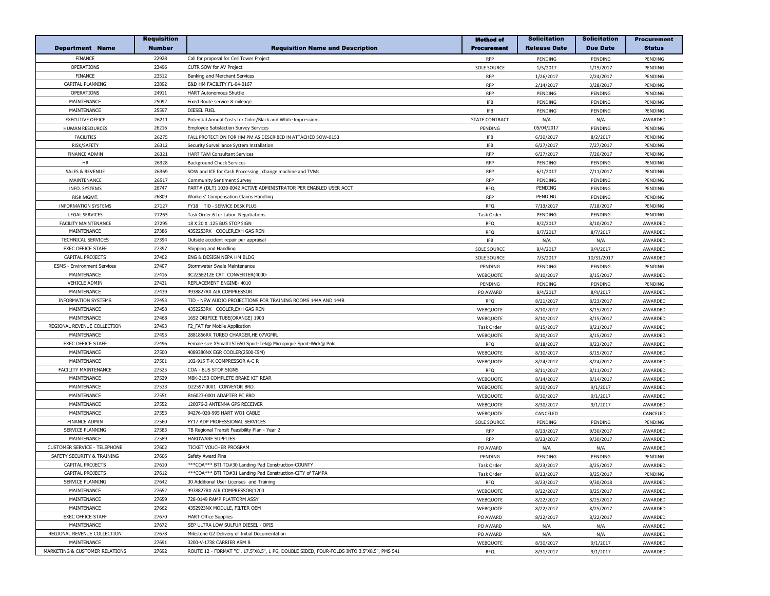|                                     | <b>Requisition</b> |                                                                                           | <b>Method of</b>            | <b>Solicitation</b> | <b>Solicitation</b> | <b>Procurement</b> |
|-------------------------------------|--------------------|-------------------------------------------------------------------------------------------|-----------------------------|---------------------|---------------------|--------------------|
| <b>Department Name</b>              | <b>Number</b>      | <b>Requisition Name and Description</b>                                                   | <b>Procurement</b>          | <b>Release Date</b> | <b>Due Date</b>     | <b>Status</b>      |
| <b>FINANCE</b>                      | 22928              | Call for proposal for Cell Tower Project                                                  | <b>RFP</b>                  | PENDING             | PENDING             | PENDING            |
| <b>OPERATIONS</b>                   | 23496              | CUTR SOW for AV Project                                                                   | <b>SOLE SOURCE</b>          | 1/5/2017            | 1/19/2017           | PENDING            |
| <b>FINANCE</b>                      | 23512              | Banking and Merchant Services                                                             | <b>RFP</b>                  | 1/26/2017           | 2/24/2017           | PENDING            |
| CAPITAL PLANNING                    | 23892              | E&D HM FACILITY FL-04-0167                                                                | RFP                         | 2/14/2017           | 3/28/2017           | PENDING            |
| <b>OPERATIONS</b>                   | 24911              | <b>HART Autonomous Shuttle</b>                                                            | <b>RFP</b>                  | PENDING             | PENDING             | PENDING            |
| MAINTENANCE                         | 25092              | Fixed Route service & mileage                                                             | $\ensuremath{\mathsf{IFB}}$ | PENDING             | PENDING             | PENDING            |
| MAINTENANCE                         | 25597              | <b>DIESEL FUEL</b>                                                                        | <b>IFB</b>                  | PENDING             | PENDING             | PENDING            |
| <b>EXECUTIVE OFFICE</b>             | 26211              | Potential Annual Costs for Color/Black and White Impressions                              | STATE CONTRACT              | N/A                 | N/A                 | AWARDED            |
| <b>HUMAN RESOURCES</b>              | 26216              | <b>Employee Satisfaction Survey Services</b>                                              | PENDING                     | 05/04/2017          | PENDING             | PENDING            |
| <b>FACILITIES</b>                   | 26275              | FALL PROTECTION FOR HM PM AS DESCRIBED IN ATTACHED SOW-0153                               | <b>IFB</b>                  | 6/30/2017           | 8/2/2017            | PENDING            |
| RISK/SAFETY                         | 26312              |                                                                                           | <b>IFB</b>                  | 6/27/2017           | 7/27/2017           | PENDING            |
|                                     | 26321              | Security Surveillance System Installation                                                 | RFP                         |                     |                     |                    |
| <b>FINANCE ADMIN</b><br>HR          | 26328              | <b>HART TAM Consultant Services</b>                                                       | <b>RFP</b>                  | 6/27/2017           | 7/26/2017           | PENDING            |
|                                     |                    | <b>Background Check Services</b>                                                          |                             | PENDING             | PENDING             | PENDING            |
| <b>SALES &amp; REVENUE</b>          | 26369              | SOW and ICE for Cash Processing, change machine and TVMs                                  | <b>RFP</b>                  | 6/1/2017            | 7/11/2017           | PENDING            |
| MAINTENANCE                         | 26517              | <b>Community Sentiment Survey</b>                                                         | <b>RFP</b>                  | PENDING             | PENDING             | PENDING            |
| INFO. SYSTEMS                       | 26747              | PART# (DLT) 1020-0042 ACTIVE ADMINISTRATOR PER ENABLED USER ACCT                          | <b>RFQ</b>                  | PENDING             | PENDING             | PENDING            |
| <b>RISK MGMT</b>                    | 26809              | Workers' Compensation Claims Handling                                                     | <b>RFP</b>                  | PENDING             | PENDING             | PENDING            |
| <b>INFORMATION SYSTEMS</b>          | 27127              | FY18 TID - SERVICE DESK PLUS                                                              | <b>RFQ</b>                  | 7/13/2017           | 7/18/2017           | PENDING            |
| LEGAL SERVICES                      | 27263              | Task Order 6 for Labor Negotiations                                                       | Task Order                  | PENDING             | PENDING             | PENDING            |
| <b>FACILITY MAINTENANCE</b>         | 27295              | 18 X 20 X .125 BUS STOP SIGN                                                              | <b>RFQ</b>                  | 8/2/2017            | 8/10/2017           | AWARDED            |
| MAINTENANCE                         | 27386              | 4352253RX COOLER, EXH GAS RCN                                                             | <b>RFQ</b>                  | 8/7/2017            | 8/7/2017            | AWARDED            |
| <b>TECHNICAL SERVICES</b>           | 27394              | Outside accident repair per appraisal                                                     | <b>IFB</b>                  | N/A                 | N/A                 | AWARDED            |
| <b>EXEC OFFICE STAFF</b>            | 27397              | Shipping and Handling                                                                     | <b>SOLE SOURCE</b>          | 8/4/2017            | 9/4/2017            | AWARDED            |
| CAPITAL PROJECTS                    | 27402              | ENG & DESIGN NEPA HM BLDG                                                                 | <b>SOLE SOURCE</b>          | 7/3/2017            | 10/31/2017          | AWARDED            |
| <b>ESMS - Environment Services</b>  | 27407              | Stormwater Swale Maintenance                                                              | PENDING                     | PENDING             | PENDING             | PENDING            |
| MAINTENANCE                         | 27416              | 9C2Z5E212E CAT. CONVERTER(4000                                                            | WEBQUOTE                    | 8/10/2017           | 8/15/2017           | AWARDED            |
| <b>VEHICLE ADMIN</b>                | 27431              | REPLACEMENT ENGINE- 4010                                                                  | PENDING                     | PENDING             | PENDING             | PENDING            |
| MAINTENANCE                         | 27439              | 4938827RX AIR COMPRESSOR                                                                  | PO AWARD                    | 8/4/2017            | 8/4/2017            | AWARDED            |
| <b>INFORMATION SYSTEMS</b>          | 27453              | TID - NEW AUDIO PROJECTIONS FOR TRAINING ROOMS 144A AND 144B                              | <b>RFQ</b>                  | 8/21/2017           | 8/23/2017           | AWARDED            |
| MAINTENANCE                         | 27458              | 4352253RX COOLER, EXH GAS RCN                                                             | WEBQUOTE                    | 8/10/2017           | 8/15/2017           | AWARDED            |
| MAINTENANCE                         | 27468              | 1652 ORIFICE TUBE(ORANGE) 1900                                                            | WEBQUOTE                    | 8/10/2017           | 8/15/2017           | AWARDED            |
| REGIONAL REVENUE COLLECTION         | 27493              | F2_FAT for Mobile Application                                                             | Task Order                  | 8/15/2017           | 8/21/2017           | AWARDED            |
| MAINTENANCE                         | 27495              | 2881856RX TURBO CHARGER, HE 07VGMR.                                                       | WEBQUOTE                    | 8/10/2017           | 8/15/2017           | AWARDED            |
| <b>EXEC OFFICE STAFF</b>            | 27496              | Female size XSmall LST650 Sport-Tek® Micropique Sport-Wick® Polo                          | <b>RFQ</b>                  | 8/18/2017           | 8/23/2017           | AWARDED            |
| MAINTENANCE                         | 27500              | 4089380NX EGR COOLER(2500-ISM)                                                            | WEBQUOTE                    | 8/10/2017           | 8/15/2017           | AWARDED            |
| MAINTENANCE                         | 27501              | 102-915 T-K COMPRESSOR A-C R                                                              | WEBQUOTE                    | 8/24/2017           | 8/24/2017           | AWARDED            |
| FACILITY MAINTENANCE                | 27525              | COA - BUS STOP SIGNS                                                                      | <b>RFQ</b>                  | 8/11/2017           | 8/11/2017           | AWARDED            |
| MAINTENANCE                         | 27529              | MBK-3153 COMPLETE BRAKE KIT REAR                                                          | WEBQUOTE                    | 8/14/2017           | 8/14/2017           | AWARDED            |
| MAINTENANCE                         | 27533              | D22597-0001 CONVEYOR BRD.                                                                 | WEBQUOTE                    | 8/30/2017           | 9/1/2017            | AWARDED            |
| MAINTENANCE                         | 27551              | B16023-0001 ADAPTER PC BRD                                                                | WEBQUOTE                    | 8/30/2017           | 9/1/2017            | AWARDED            |
| MAINTENANCE                         | 27552              | 120076-2 ANTENNA GPS RECEIVER                                                             | WEBQUOTE                    | 8/30/2017           | 9/1/2017            | AWARDED            |
| MAINTENANCE                         | 27553              | 94276-020-995 HART WO1 CABLE                                                              | WEBQUOTE                    | CANCELED            |                     | CANCELED           |
| <b>FINANCE ADMIN</b>                | 27560              | FY17 ADP PROFESSIONAL SERVICES                                                            | <b>SOLE SOURCE</b>          | PENDING             | PENDING             | PENDING            |
| SERVICE PLANNING                    | 27583              | TB Regional Transit Feasibility Plan - Year 2                                             | <b>RFP</b>                  | 8/23/2017           | 9/30/2017           | AWARDED            |
| MAINTENANCE                         | 27589              | <b>HARDWARE SUPPLIES</b>                                                                  | <b>RFP</b>                  | 8/23/2017           | 9/30/2017           | AWARDED            |
| <b>CUSTOMER SERVICE - TELEPHONE</b> | 27602              | TICKET VOUCHER PROGRAM                                                                    | PO AWARD                    | N/A                 | N/A                 | AWARDED            |
| SAFETY SECURITY & TRAINING          | 27606              | Safety Award Pins                                                                         | PENDING                     | PENDING             | PENDING             | PENDING            |
| CAPITAL PROJECTS                    | 27610              | ***COA*** BTI TO#30 Landing Pad Construction-COUNTY                                       | Task Order                  | 8/23/2017           | 8/25/2017           | AWARDED            |
| CAPITAL PROJECTS                    | 27612              | *** COA*** BTI TO#31 Landing Pad Construction-CITY of TAMPA                               | Task Order                  | 8/23/2017           | 8/25/2017           | PENDING            |
| SERVICE PLANNING                    | 27642              | 30 Additional User Licenses and Training                                                  | RFQ                         | 8/23/2017           | 9/30/2018           | AWARDED            |
| MAINTENANCE                         | 27652              | 4938827RX AIR COMPRESSOR(1200                                                             | WEBQUOTE                    | 8/22/2017           | 8/25/2017           | AWARDED            |
| MAINTENANCE                         | 27659              | 728-0149 RAMP PLATFORM ASSY                                                               | WEBQUOTE                    | 8/22/2017           | 8/25/2017           | AWARDED            |
| MAINTENANCE                         | 27662              | 4352923NX MODULE, FILTER OEM                                                              | <b>WEBOUOTE</b>             | 8/22/2017           | 8/25/2017           | AWARDED            |
| <b>EXEC OFFICE STAFF</b>            | 27670              | <b>HART Office Supplies</b>                                                               | PO AWARD                    | 8/22/2017           | 8/22/2017           | AWARDED            |
| MAINTENANCE                         | 27672              | SEP ULTRA LOW SULFUR DIESEL - OPIS                                                        | PO AWARD                    | N/A                 | N/A                 | AWARDED            |
| REGIONAL REVENUE COLLECTION         | 27678              | Milestone G2 Delivery of Initial Documentation                                            | PO AWARD                    | N/A                 | N/A                 | AWARDED            |
| MAINTENANCE                         | 27691              | 3200-V-1738 CARRIER ASM R                                                                 | WEBQUOTE                    | 8/30/2017           | 9/1/2017            | AWARDED            |
| MARKETING & CUSTOMER RELATIONS      | 27692              | ROUTE 12 - FORMAT "C", 17.5"X8.5", 1 PG, DOUBLE SIDED, FOUR-FOLDS INTO 3.5"X8.5", PMS 541 | RFQ                         | 8/31/2017           | 9/1/2017            | AWARDED            |
|                                     |                    |                                                                                           |                             |                     |                     |                    |